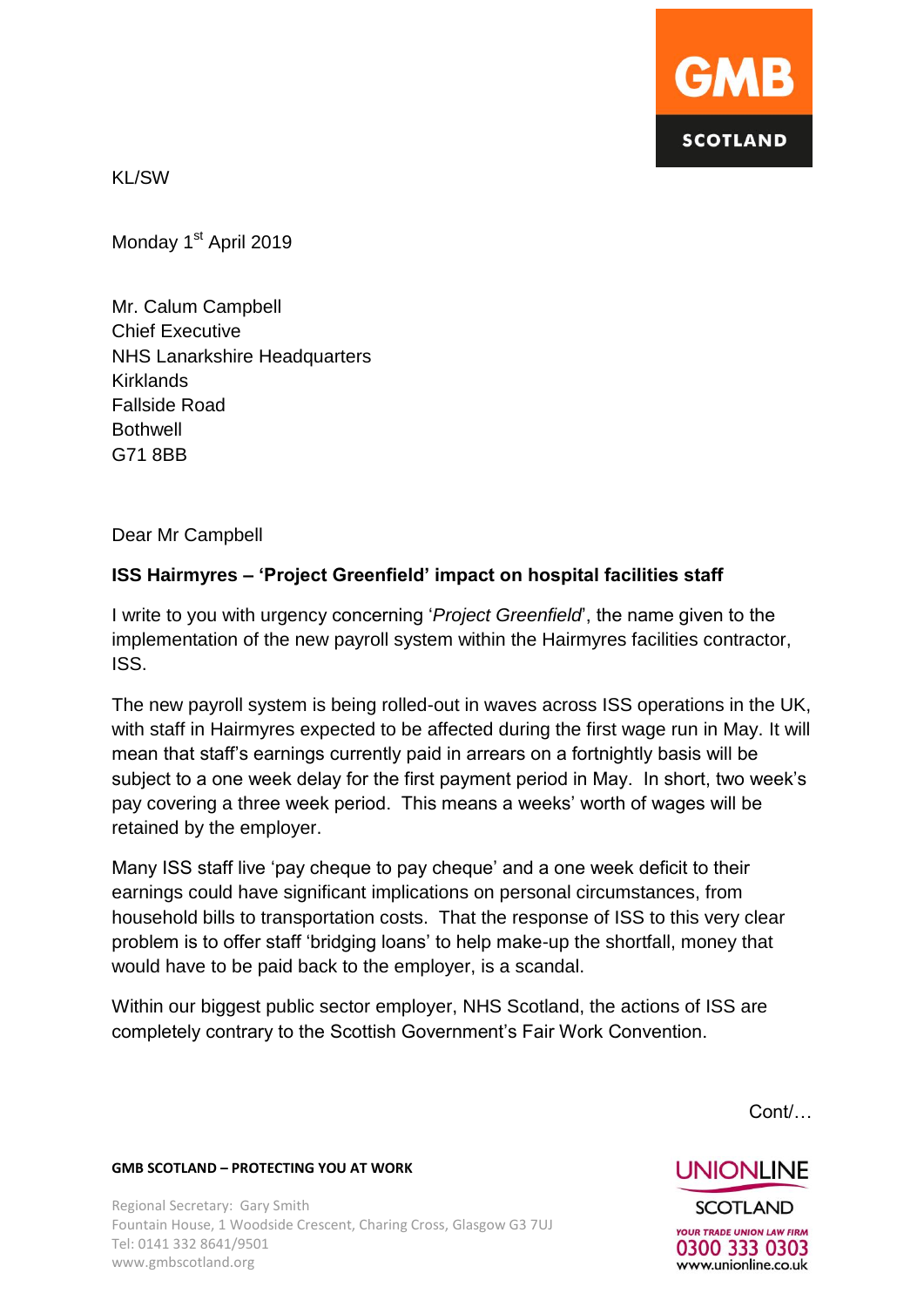

KL/SW

Monday 1<sup>st</sup> April 2019

Mr. Calum Campbell Chief Executive NHS Lanarkshire Headquarters Kirklands Fallside Road Bothwell G71 8BB

Dear Mr Campbell

## **ISS Hairmyres – 'Project Greenfield' impact on hospital facilities staff**

I write to you with urgency concerning '*Project Greenfield*', the name given to the implementation of the new payroll system within the Hairmyres facilities contractor, ISS.

The new payroll system is being rolled-out in waves across ISS operations in the UK, with staff in Hairmyres expected to be affected during the first wage run in May. It will mean that staff's earnings currently paid in arrears on a fortnightly basis will be subject to a one week delay for the first payment period in May. In short, two week's pay covering a three week period. This means a weeks' worth of wages will be retained by the employer.

Many ISS staff live 'pay cheque to pay cheque' and a one week deficit to their earnings could have significant implications on personal circumstances, from household bills to transportation costs. That the response of ISS to this very clear problem is to offer staff 'bridging loans' to help make-up the shortfall, money that would have to be paid back to the employer, is a scandal.

Within our biggest public sector employer, NHS Scotland, the actions of ISS are completely contrary to the Scottish Government's Fair Work Convention.

Cont/…

## **GMB SCOTLAND – PROTECTING YOU AT WORK**

Regional Secretary: Gary Smith Fountain House, 1 Woodside Crescent, Charing Cross, Glasgow G3 7UJ Tel: 0141 332 8641/9501 www.gmbscotland.org

## **UNIONLINE**

**SCOTLAND YOUR TRADE UNION LAW FIRM** 0300 333 0303 www.unionline.co.uk